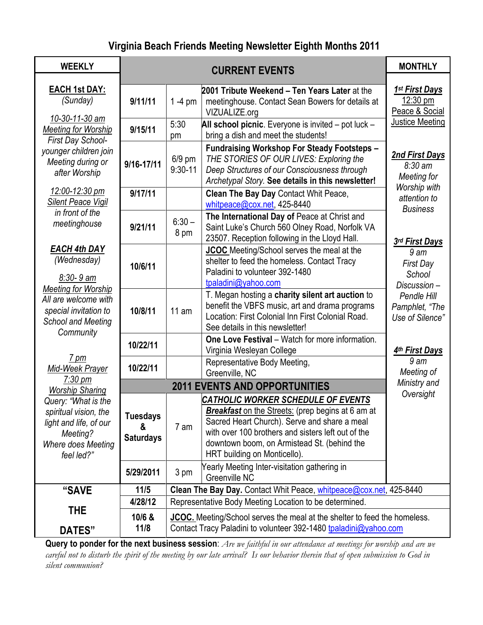# **Virginia Beach Friends Meeting Newsletter Eighth Months 2011**

| <b>WEEKLY</b>                                                                                                                                                        | <b>CURRENT EVENTS</b>                                             |                                                                                                                                                      |                                                                                                                                                                                                                                                                                            | <b>MONTHLY</b>                                               |
|----------------------------------------------------------------------------------------------------------------------------------------------------------------------|-------------------------------------------------------------------|------------------------------------------------------------------------------------------------------------------------------------------------------|--------------------------------------------------------------------------------------------------------------------------------------------------------------------------------------------------------------------------------------------------------------------------------------------|--------------------------------------------------------------|
| <b>EACH 1st DAY:</b><br>(Sunday)<br>10-30-11-30 am<br><b>Meeting for Worship</b><br>First Day School-<br>younger children join<br>Meeting during or<br>after Worship | 9/11/11                                                           | $1 - 4$ pm                                                                                                                                           | 2001 Tribute Weekend – Ten Years Later at the<br>meetinghouse. Contact Sean Bowers for details at<br>VIZUALIZE.org                                                                                                                                                                         | 1 <sup>st</sup> First Days<br>12:30 pm<br>Peace & Social     |
|                                                                                                                                                                      | 9/15/11                                                           | 5:30<br>pm                                                                                                                                           | All school picnic. Everyone is invited - pot luck -<br>bring a dish and meet the students!                                                                                                                                                                                                 | <b>Justice Meeting</b>                                       |
|                                                                                                                                                                      | 9/16-17/11                                                        | $6/9$ pm<br>$9:30 - 11$                                                                                                                              | <b>Fundraising Workshop For Steady Footsteps -</b><br>THE STORIES OF OUR LIVES: Exploring the<br>Deep Structures of our Consciousness through<br>Archetypal Story. See details in this newsletter!                                                                                         | <b>2nd First Days</b><br>$8:30 \text{ am}$<br>Meeting for    |
| 12:00-12:30 pm<br><b>Silent Peace Vigil</b>                                                                                                                          | 9/17/11                                                           |                                                                                                                                                      | Clean The Bay Day Contact Whit Peace,<br>whitpeace@cox.net, 425-8440                                                                                                                                                                                                                       | Worship with<br>attention to<br><b>Business</b>              |
| in front of the<br>meetinghouse                                                                                                                                      | 9/21/11                                                           | $6:30 -$<br>8 pm                                                                                                                                     | The International Day of Peace at Christ and<br>Saint Luke's Church 560 Olney Road, Norfolk VA<br>23507. Reception following in the Lloyd Hall.                                                                                                                                            | <b>3rd First Days</b>                                        |
| <b>EACH 4th DAY</b><br>(Wednesday)<br>$8:30 - 9$ am<br><b>Meeting for Worship</b><br>All are welcome with<br>special invitation to<br><b>School and Meeting</b>      | 10/6/11                                                           |                                                                                                                                                      | <b>JCOC</b> Meeting/School serves the meal at the<br>shelter to feed the homeless. Contact Tracy<br>Paladini to volunteer 392-1480<br>tpaladini@yahoo.com                                                                                                                                  | 9 <sub>am</sub><br><b>First Day</b><br>School<br>Discussion- |
|                                                                                                                                                                      | 10/8/11                                                           | 11 am                                                                                                                                                | T. Megan hosting a charity silent art auction to<br>benefit the VBFS music, art and drama programs<br>Location: First Colonial Inn First Colonial Road.<br>See details in this newsletter!                                                                                                 | Pendle Hill<br>Pamphlet, "The<br>Use of Silence"             |
| Community                                                                                                                                                            | 10/22/11                                                          |                                                                                                                                                      | <b>One Love Festival - Watch for more information.</b><br>Virginia Wesleyan College                                                                                                                                                                                                        | 4th First Days                                               |
| 7 pm<br>Mid-Week Prayer                                                                                                                                              | 10/22/11                                                          |                                                                                                                                                      | Representative Body Meeting,<br>Greenville, NC                                                                                                                                                                                                                                             | 9 am<br>Meeting of                                           |
| $7:30 \text{ pm}$<br><b>Worship Sharing</b>                                                                                                                          | Ministry and<br><b>2011 EVENTS AND OPPORTUNITIES</b><br>Oversight |                                                                                                                                                      |                                                                                                                                                                                                                                                                                            |                                                              |
| Query: "What is the<br>spiritual vision, the<br>light and life, of our<br>Meeting?<br>Where does Meeting<br>feel led?"                                               | <b>Tuesdays</b><br>&<br><b>Saturdays</b>                          | 7 am                                                                                                                                                 | <b>CATHOLIC WORKER SCHEDULE OF EVENTS</b><br><b>Breakfast</b> on the Streets: (prep begins at 6 am at<br>Sacred Heart Church). Serve and share a meal<br>with over 100 brothers and sisters left out of the<br>downtown boom, on Armistead St. (behind the<br>HRT building on Monticello). |                                                              |
|                                                                                                                                                                      | 5/29/2011                                                         | 3 pm                                                                                                                                                 | Yearly Meeting Inter-visitation gathering in<br>Greenville NC                                                                                                                                                                                                                              |                                                              |
| "SAVE                                                                                                                                                                | 11/5                                                              |                                                                                                                                                      | Clean The Bay Day. Contact Whit Peace, whitpeace@cox.net, 425-8440                                                                                                                                                                                                                         |                                                              |
|                                                                                                                                                                      | 4/28/12                                                           | Representative Body Meeting Location to be determined.                                                                                               |                                                                                                                                                                                                                                                                                            |                                                              |
| THE<br><b>DATES"</b>                                                                                                                                                 | 10/6 &<br>11/8                                                    | <b>JCOC.</b> Meeting/School serves the meal at the shelter to feed the homeless.<br>Contact Tracy Paladini to volunteer 392-1480 tpaladini@yahoo.com |                                                                                                                                                                                                                                                                                            |                                                              |

**Query to ponder for the next business session**: *Are we faithful in our attendance at meetings for worship and are we careful not to disturb the spirit of the meeting by our late arrival? Is our behavior therein that of open submission to God in silent communion?*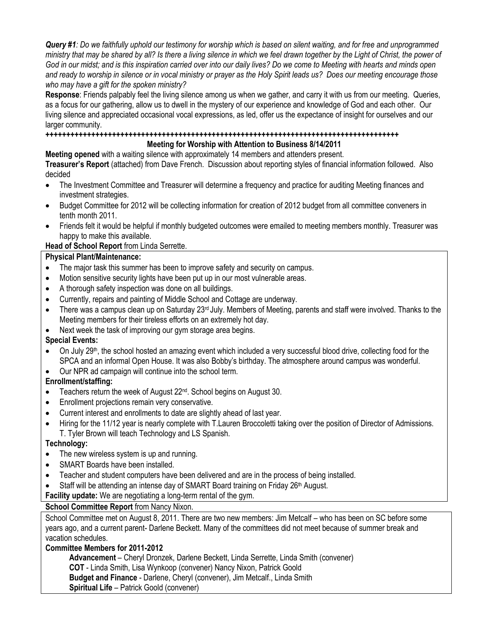*Query #1: Do we faithfully uphold our testimony for worship which is based on silent waiting, and for free and unprogrammed ministry that may be shared by all? Is there a living silence in which we feel drawn together by the Light of Christ, the power of God in our midst; and is this inspiration carried over into our daily lives? Do we come to Meeting with hearts and minds open and ready to worship in silence or in vocal ministry or prayer as the Holy Spirit leads us? Does our meeting encourage those who may have a gift for the spoken ministry?*

**Response**: Friends palpably feel the living silence among us when we gather, and carry it with us from our meeting. Queries, as a focus for our gathering, allow us to dwell in the mystery of our experience and knowledge of God and each other. Our living silence and appreciated occasional vocal expressions, as led, offer us the expectance of insight for ourselves and our larger community.

#### **+++++++++++++++++++++++++++++++++++++++++++++++++++++++++++++++++++++++++++++++++++++**

#### **Meeting for Worship with Attention to Business 8/14/2011**

**Meeting opened** with a waiting silence with approximately 14 members and attenders present.

**Treasurer's Report** (attached) from Dave French. Discussion about reporting styles of financial information followed. Also decided

- The Investment Committee and Treasurer will determine a frequency and practice for auditing Meeting finances and investment strategies.
- Budget Committee for 2012 will be collecting information for creation of 2012 budget from all committee conveners in tenth month 2011.
- Friends felt it would be helpful if monthly budgeted outcomes were emailed to meeting members monthly. Treasurer was happy to make this available.

#### **Head of School Report** from Linda Serrette.

#### **Physical Plant/Maintenance:**

- The major task this summer has been to improve safety and security on campus.
- Motion sensitive security lights have been put up in our most vulnerable areas.
- A thorough safety inspection was done on all buildings.
- Currently, repairs and painting of Middle School and Cottage are underway.
- $\bullet$  There was a campus clean up on Saturday 23<sup>rd</sup> July. Members of Meeting, parents and staff were involved. Thanks to the Meeting members for their tireless efforts on an extremely hot day.
- Next week the task of improving our gym storage area begins.

# **Special Events:**

- On July 29<sup>th</sup>, the school hosted an amazing event which included a very successful blood drive, collecting food for the SPCA and an informal Open House. It was also Bobby's birthday. The atmosphere around campus was wonderful.
- Our NPR ad campaign will continue into the school term.

# **Enrollment/staffing:**

- Teachers return the week of August 22<sup>nd</sup>. School begins on August 30.
- Enrollment projections remain very conservative.
- Current interest and enrollments to date are slightly ahead of last year.
- Hiring for the 11/12 year is nearly complete with T.Lauren Broccoletti taking over the position of Director of Admissions. T. Tyler Brown will teach Technology and LS Spanish.

# **Technology:**

- The new wireless system is up and running.
- SMART Boards have been installed.
- Teacher and student computers have been delivered and are in the process of being installed.
- Staff will be attending an intense day of SMART Board training on Friday 26<sup>th</sup> August.

**Facility update:** We are negotiating a long-term rental of the gym.

# **School Committee Report** from Nancy Nixon.

School Committee met on August 8, 2011. There are two new members: Jim Metcalf – who has been on SC before some years ago, and a current parent- Darlene Beckett. Many of the committees did not meet because of summer break and vacation schedules.

#### **Committee Members for 2011-2012**

 **Advancement** – Cheryl Dronzek, Darlene Beckett, Linda Serrette, Linda Smith (convener)  **COT** - Linda Smith, Lisa Wynkoop (convener) Nancy Nixon, Patrick Goold  **Budget and Finance** - Darlene, Cheryl (convener), Jim Metcalf., Linda Smith  **Spiritual Life** – Patrick Goold (convener)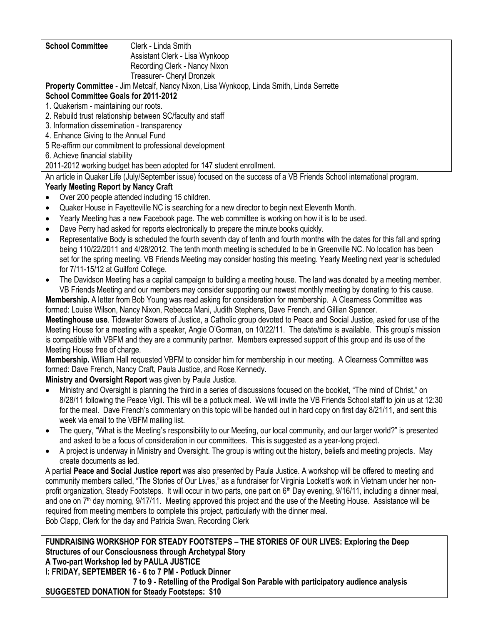| <b>School Committee</b><br>Clerk - Linda Smith                                                                        |  |  |  |  |
|-----------------------------------------------------------------------------------------------------------------------|--|--|--|--|
| Assistant Clerk - Lisa Wynkoop                                                                                        |  |  |  |  |
| Recording Clerk - Nancy Nixon                                                                                         |  |  |  |  |
| Treasurer- Cheryl Dronzek                                                                                             |  |  |  |  |
| <b>Property Committee</b> - Jim Metcalf, Nancy Nixon, Lisa Wynkoop, Linda Smith, Linda Serrette                       |  |  |  |  |
| <b>School Committee Goals for 2011-2012</b>                                                                           |  |  |  |  |
| 1. Quakerism - maintaining our roots.                                                                                 |  |  |  |  |
| 2. Rebuild trust relationship between SC/faculty and staff                                                            |  |  |  |  |
| 3. Information dissemination - transparency                                                                           |  |  |  |  |
| 4. Enhance Giving to the Annual Fund                                                                                  |  |  |  |  |
| 5 Re-affirm our commitment to professional development                                                                |  |  |  |  |
| 6. Achieve financial stability                                                                                        |  |  |  |  |
| 2011-2012 working budget has been adopted for 147 student enrollment.                                                 |  |  |  |  |
| An article in Quaker Life (July/September issue) focused on the success of a VB Friends School international program. |  |  |  |  |

# **Yearly Meeting Report by Nancy Craft**

- Over 200 people attended including 15 children.
- Quaker House in Fayetteville NC is searching for a new director to begin next Eleventh Month.
- Yearly Meeting has a new Facebook page. The web committee is working on how it is to be used.
- Dave Perry had asked for reports electronically to prepare the minute books quickly.
- Representative Body is scheduled the fourth seventh day of tenth and fourth months with the dates for this fall and spring being 110/22/2011 and 4/28/2012. The tenth month meeting is scheduled to be in Greenville NC. No location has been set for the spring meeting. VB Friends Meeting may consider hosting this meeting. Yearly Meeting next year is scheduled for 7/11-15/12 at Guilford College.
- The Davidson Meeting has a capital campaign to building a meeting house. The land was donated by a meeting member. VB Friends Meeting and our members may consider supporting our newest monthly meeting by donating to this cause.

**Membership.** A letter from Bob Young was read asking for consideration for membership. A Clearness Committee was formed: Louise Wilson, Nancy Nixon, Rebecca Mani, Judith Stephens, Dave French, and Gillian Spencer.

**Meetinghouse use**. Tidewater Sowers of Justice, a Catholic group devoted to Peace and Social Justice, asked for use of the Meeting House for a meeting with a speaker, Angie O'Gorman, on 10/22/11. The date/time is available. This group's mission is compatible with VBFM and they are a community partner. Members expressed support of this group and its use of the Meeting House free of charge.

**Membership.** William Hall requested VBFM to consider him for membership in our meeting. A Clearness Committee was formed: Dave French, Nancy Craft, Paula Justice, and Rose Kennedy.

**Ministry and Oversight Report** was given by Paula Justice.

- Ministry and Oversight is planning the third in a series of discussions focused on the booklet, "The mind of Christ," on 8/28/11 following the Peace Vigil. This will be a potluck meal. We will invite the VB Friends School staff to join us at 12:30 for the meal. Dave French's commentary on this topic will be handed out in hard copy on first day 8/21/11, and sent this week via email to the VBFM mailing list.
- The query, "What is the Meeting's responsibility to our Meeting, our local community, and our larger world?" is presented and asked to be a focus of consideration in our committees. This is suggested as a year-long project.
- A project is underway in Ministry and Oversight. The group is writing out the history, beliefs and meeting projects. May create documents as led.

A partial **Peace and Social Justice report** was also presented by Paula Justice. A workshop will be offered to meeting and community members called, "The Stories of Our Lives," as a fundraiser for Virginia Lockett's work in Vietnam under her nonprofit organization, Steady Footsteps. It will occur in two parts, one part on 6<sup>th</sup> Day evening, 9/16/11, including a dinner meal, and one on 7<sup>th</sup> day morning, 9/17/11. Meeting approved this project and the use of the Meeting House. Assistance will be required from meeting members to complete this project, particularly with the dinner meal. Bob Clapp, Clerk for the day and Patricia Swan, Recording Clerk

**FUNDRAISING WORKSHOP FOR STEADY FOOTSTEPS – THE STORIES OF OUR LIVES: Exploring the Deep Structures of our Consciousness through Archetypal Story A Two-part Workshop led by PAULA JUSTICE I: FRIDAY, SEPTEMBER 16 - 6 to 7 PM - Potluck Dinner 7 to 9 - Retelling of the Prodigal Son Parable with participatory audience analysis SUGGESTED DONATION for Steady Footsteps: \$10**